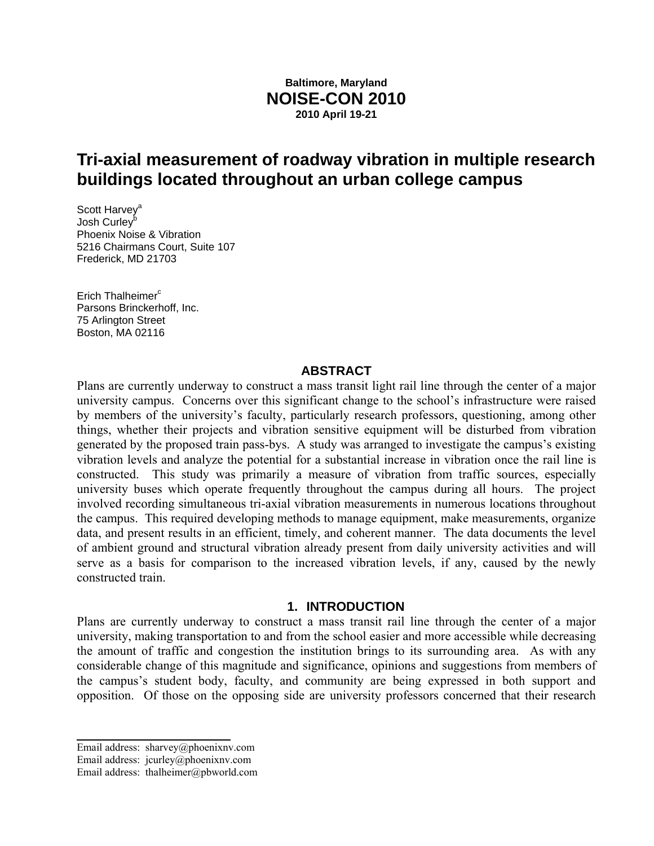# **Baltimore, Maryland NOISE-CON 2010 2010 April 19-21**

# **Tri-axial measurement of roadway vibration in multiple research buildings located throughout an urban college campus**

Scott Harvey<sup>a</sup> Josh Curley<sup>t</sup> Phoenix Noise & Vibration 5216 Chairmans Court, Suite 107 Frederick, MD 21703

Erich Thalheimer $c$ Parsons Brinckerhoff, Inc. 75 Arlington Street Boston, MA 02116

#### **ABSTRACT**

Plans are currently underway to construct a mass transit light rail line through the center of a major university campus. Concerns over this significant change to the school's infrastructure were raised by members of the university's faculty, particularly research professors, questioning, among other things, whether their projects and vibration sensitive equipment will be disturbed from vibration generated by the proposed train pass-bys. A study was arranged to investigate the campus's existing vibration levels and analyze the potential for a substantial increase in vibration once the rail line is constructed. This study was primarily a measure of vibration from traffic sources, especially university buses which operate frequently throughout the campus during all hours. The project involved recording simultaneous tri-axial vibration measurements in numerous locations throughout the campus. This required developing methods to manage equipment, make measurements, organize data, and present results in an efficient, timely, and coherent manner. The data documents the level of ambient ground and structural vibration already present from daily university activities and will serve as a basis for comparison to the increased vibration levels, if any, caused by the newly constructed train.

#### **1. INTRODUCTION**

Plans are currently underway to construct a mass transit rail line through the center of a major university, making transportation to and from the school easier and more accessible while decreasing the amount of traffic and congestion the institution brings to its surrounding area. As with any considerable change of this magnitude and significance, opinions and suggestions from members of the campus's student body, faculty, and community are being expressed in both support and opposition. Of those on the opposing side are university professors concerned that their research

 $\overline{\phantom{a}}$  , where  $\overline{\phantom{a}}$ 

Email address: sharvey@phoenixnv.com

Email address: jcurley@phoenixnv.com

Email address: thalheimer@pbworld.com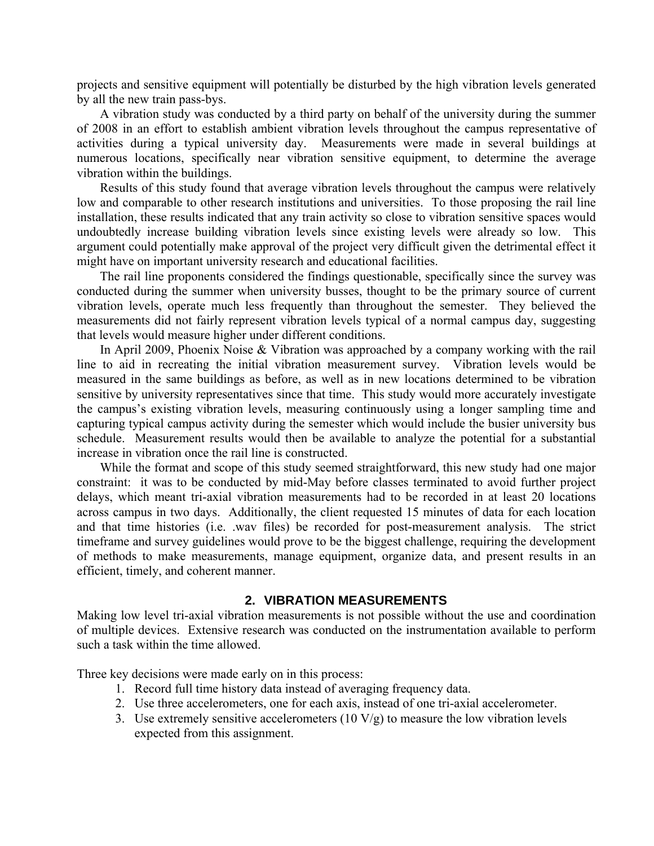projects and sensitive equipment will potentially be disturbed by the high vibration levels generated by all the new train pass-bys.

A vibration study was conducted by a third party on behalf of the university during the summer of 2008 in an effort to establish ambient vibration levels throughout the campus representative of activities during a typical university day. Measurements were made in several buildings at numerous locations, specifically near vibration sensitive equipment, to determine the average vibration within the buildings.

Results of this study found that average vibration levels throughout the campus were relatively low and comparable to other research institutions and universities. To those proposing the rail line installation, these results indicated that any train activity so close to vibration sensitive spaces would undoubtedly increase building vibration levels since existing levels were already so low. This argument could potentially make approval of the project very difficult given the detrimental effect it might have on important university research and educational facilities.

The rail line proponents considered the findings questionable, specifically since the survey was conducted during the summer when university busses, thought to be the primary source of current vibration levels, operate much less frequently than throughout the semester. They believed the measurements did not fairly represent vibration levels typical of a normal campus day, suggesting that levels would measure higher under different conditions.

In April 2009, Phoenix Noise & Vibration was approached by a company working with the rail line to aid in recreating the initial vibration measurement survey. Vibration levels would be measured in the same buildings as before, as well as in new locations determined to be vibration sensitive by university representatives since that time. This study would more accurately investigate the campus's existing vibration levels, measuring continuously using a longer sampling time and capturing typical campus activity during the semester which would include the busier university bus schedule. Measurement results would then be available to analyze the potential for a substantial increase in vibration once the rail line is constructed.

While the format and scope of this study seemed straightforward, this new study had one major constraint: it was to be conducted by mid-May before classes terminated to avoid further project delays, which meant tri-axial vibration measurements had to be recorded in at least 20 locations across campus in two days. Additionally, the client requested 15 minutes of data for each location and that time histories (i.e. .wav files) be recorded for post-measurement analysis. The strict timeframe and survey guidelines would prove to be the biggest challenge, requiring the development of methods to make measurements, manage equipment, organize data, and present results in an efficient, timely, and coherent manner.

## **2. VIBRATION MEASUREMENTS**

Making low level tri-axial vibration measurements is not possible without the use and coordination of multiple devices. Extensive research was conducted on the instrumentation available to perform such a task within the time allowed.

Three key decisions were made early on in this process:

- 1. Record full time history data instead of averaging frequency data.
- 2. Use three accelerometers, one for each axis, instead of one tri-axial accelerometer.
- 3. Use extremely sensitive accelerometers  $(10 \text{ V/g})$  to measure the low vibration levels expected from this assignment.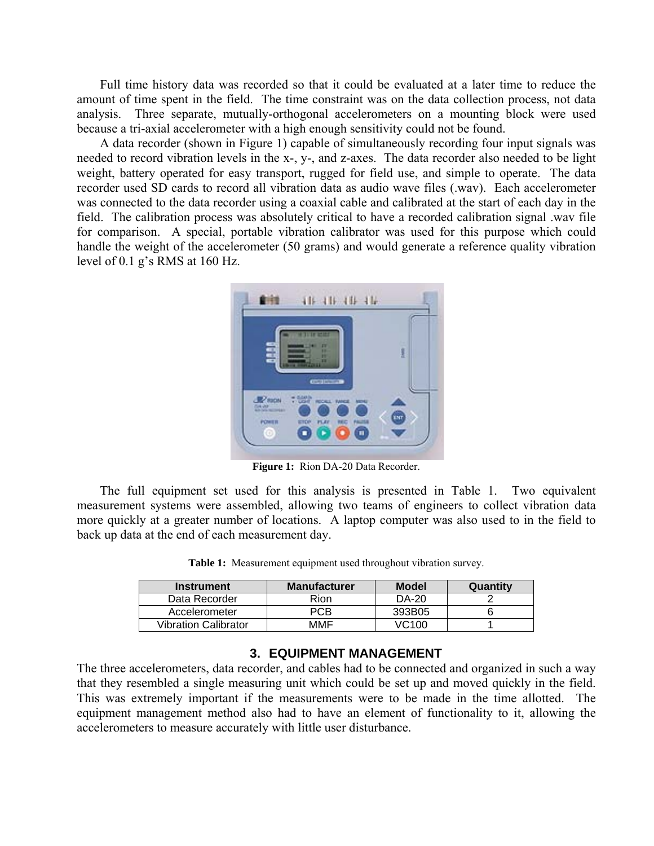Full time history data was recorded so that it could be evaluated at a later time to reduce the amount of time spent in the field. The time constraint was on the data collection process, not data analysis. Three separate, mutually-orthogonal accelerometers on a mounting block were used because a tri-axial accelerometer with a high enough sensitivity could not be found.

A data recorder (shown in Figure 1) capable of simultaneously recording four input signals was needed to record vibration levels in the x-, y-, and z-axes. The data recorder also needed to be light weight, battery operated for easy transport, rugged for field use, and simple to operate. The data recorder used SD cards to record all vibration data as audio wave files (.wav). Each accelerometer was connected to the data recorder using a coaxial cable and calibrated at the start of each day in the field. The calibration process was absolutely critical to have a recorded calibration signal .wav file for comparison. A special, portable vibration calibrator was used for this purpose which could handle the weight of the accelerometer (50 grams) and would generate a reference quality vibration level of 0.1 g's RMS at 160 Hz.



**Figure 1:** Rion DA-20 Data Recorder.

The full equipment set used for this analysis is presented in Table 1. Two equivalent measurement systems were assembled, allowing two teams of engineers to collect vibration data more quickly at a greater number of locations. A laptop computer was also used to in the field to back up data at the end of each measurement day.

| <b>Instrument</b>           | <b>Manufacturer</b> | <b>Model</b> | Quantity |
|-----------------------------|---------------------|--------------|----------|
| Data Recorder               | Rion                | DA-20        |          |
| Accelerometer               | PCB                 | 393B05       |          |
| <b>Vibration Calibrator</b> | MMF                 | VC100        |          |

**Table 1:** Measurement equipment used throughout vibration survey.

#### **3. EQUIPMENT MANAGEMENT**

The three accelerometers, data recorder, and cables had to be connected and organized in such a way that they resembled a single measuring unit which could be set up and moved quickly in the field. This was extremely important if the measurements were to be made in the time allotted. The equipment management method also had to have an element of functionality to it, allowing the accelerometers to measure accurately with little user disturbance.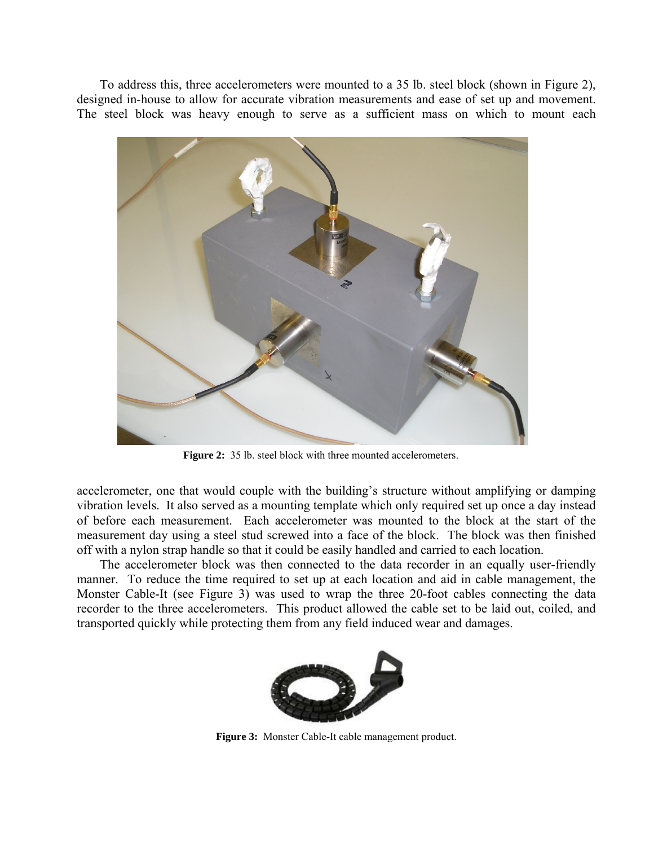To address this, three accelerometers were mounted to a 35 lb. steel block (shown in Figure 2), designed in-house to allow for accurate vibration measurements and ease of set up and movement. The steel block was heavy enough to serve as a sufficient mass on which to mount each



**Figure 2:** 35 lb. steel block with three mounted accelerometers.

accelerometer, one that would couple with the building's structure without amplifying or damping vibration levels. It also served as a mounting template which only required set up once a day instead of before each measurement. Each accelerometer was mounted to the block at the start of the measurement day using a steel stud screwed into a face of the block. The block was then finished off with a nylon strap handle so that it could be easily handled and carried to each location.

The accelerometer block was then connected to the data recorder in an equally user-friendly manner. To reduce the time required to set up at each location and aid in cable management, the Monster Cable-It (see Figure 3) was used to wrap the three 20-foot cables connecting the data recorder to the three accelerometers. This product allowed the cable set to be laid out, coiled, and transported quickly while protecting them from any field induced wear and damages.



**Figure 3:** Monster Cable-It cable management product.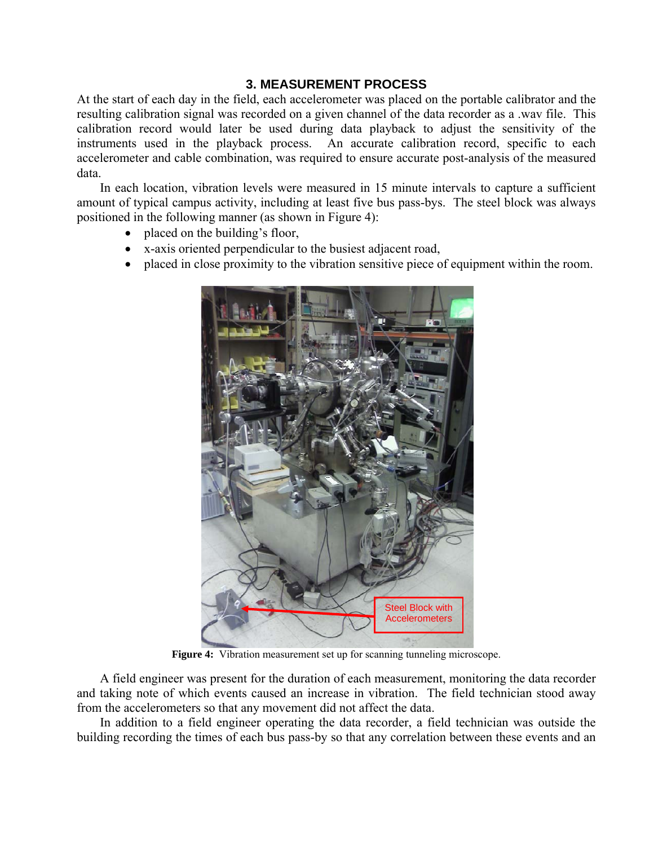## **3. MEASUREMENT PROCESS**

At the start of each day in the field, each accelerometer was placed on the portable calibrator and the resulting calibration signal was recorded on a given channel of the data recorder as a .wav file. This calibration record would later be used during data playback to adjust the sensitivity of the instruments used in the playback process. An accurate calibration record, specific to each accelerometer and cable combination, was required to ensure accurate post-analysis of the measured data.

In each location, vibration levels were measured in 15 minute intervals to capture a sufficient amount of typical campus activity, including at least five bus pass-bys. The steel block was always positioned in the following manner (as shown in Figure 4):

- placed on the building's floor,
- x-axis oriented perpendicular to the busiest adjacent road,
- placed in close proximity to the vibration sensitive piece of equipment within the room.



**Figure 4:** Vibration measurement set up for scanning tunneling microscope.

A field engineer was present for the duration of each measurement, monitoring the data recorder and taking note of which events caused an increase in vibration. The field technician stood away from the accelerometers so that any movement did not affect the data.

In addition to a field engineer operating the data recorder, a field technician was outside the building recording the times of each bus pass-by so that any correlation between these events and an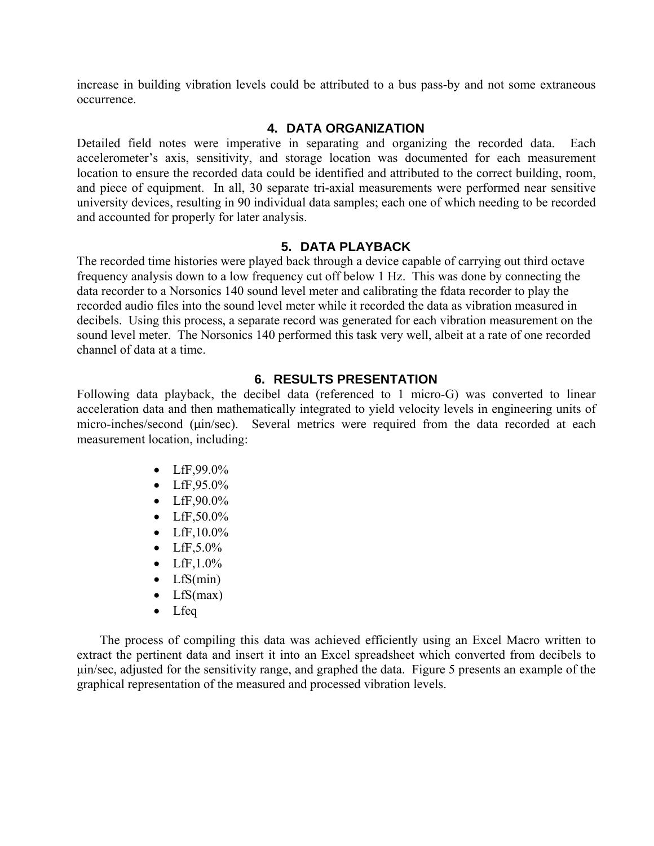increase in building vibration levels could be attributed to a bus pass-by and not some extraneous occurrence.

## **4. DATA ORGANIZATION**

Detailed field notes were imperative in separating and organizing the recorded data. Each accelerometer's axis, sensitivity, and storage location was documented for each measurement location to ensure the recorded data could be identified and attributed to the correct building, room, and piece of equipment. In all, 30 separate tri-axial measurements were performed near sensitive university devices, resulting in 90 individual data samples; each one of which needing to be recorded and accounted for properly for later analysis.

## **5. DATA PLAYBACK**

The recorded time histories were played back through a device capable of carrying out third octave frequency analysis down to a low frequency cut off below 1 Hz. This was done by connecting the data recorder to a Norsonics 140 sound level meter and calibrating the fdata recorder to play the recorded audio files into the sound level meter while it recorded the data as vibration measured in decibels. Using this process, a separate record was generated for each vibration measurement on the sound level meter. The Norsonics 140 performed this task very well, albeit at a rate of one recorded channel of data at a time.

## **6. RESULTS PRESENTATION**

Following data playback, the decibel data (referenced to 1 micro-G) was converted to linear acceleration data and then mathematically integrated to yield velocity levels in engineering units of micro-inches/second (μin/sec). Several metrics were required from the data recorded at each measurement location, including:

- LfF,99.0%
- LfF, $95.0\%$
- LfF, $90.0\%$
- LfF,50.0%
- LfF,10.0%
- LfF, $5.0\%$
- LfF, $1.0\%$
- $\bullet$  LfS(min)
- $\bullet$  LfS(max)
- Lfeq

The process of compiling this data was achieved efficiently using an Excel Macro written to extract the pertinent data and insert it into an Excel spreadsheet which converted from decibels to μin/sec, adjusted for the sensitivity range, and graphed the data. Figure 5 presents an example of the graphical representation of the measured and processed vibration levels.